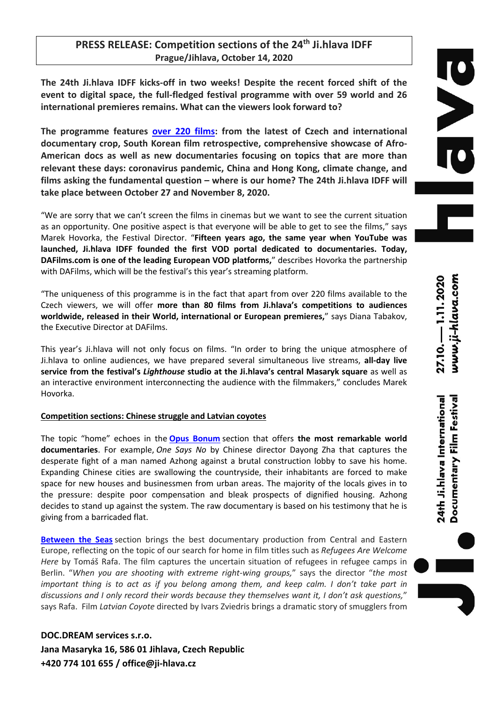# **PRESS RELEASE: Competition sections of the 24th Ji.hlava IDFF Prague/Jihlava, October 14, 2020**

**The 24th Ji.hlava IDFF kicks-off in two weeks! Despite the recent forced shift of the event to digital space, the full-fledged festival programme with over 59 world and 26 international premieres remains. What can the viewers look forward to?** 

**The programme features over 220 films: from the latest of Czech and international documentary crop, South Korean film retrospective, comprehensive showcase of Afro-American docs as well as new documentaries focusing on topics that are more than relevant these days: coronavirus pandemic, China and Hong Kong, climate change, and films asking the fundamental question – where is our home? The 24th Ji.hlava IDFF will take place between October 27 and November 8, 2020.**

"We are sorry that we can't screen the films in cinemas but we want to see the current situation as an opportunity. One positive aspect is that everyone will be able to get to see the films," says Marek Hovorka, the Festival Director. "**Fifteen years ago, the same year when YouTube was launched, Ji.hlava IDFF founded the first VOD portal dedicated to documentaries. Today, DAFilms.com is one of the leading European VOD platforms,**" describes Hovorka the partnership with DAFilms, which will be the festival's this year's streaming platform.

"The uniqueness of this programme is in the fact that apart from over 220 films available to the Czech viewers, we will offer **more than 80 films from Ji.hlava's competitions to audiences worldwide, released in their World, international or European premieres,**" says Diana Tabakov, the Executive Director at DAFilms.

This year's Ji.hlava will not only focus on films. "In order to bring the unique atmosphere of Ji.hlava to online audiences, we have prepared several simultaneous live streams, **all-day live service from the festival's** *Lighthouse* **studio at the Ji.hlava's central Masaryk square** as well as an interactive environment interconnecting the audience with the filmmakers," concludes Marek Hovorka.

## **Competition sections: Chinese struggle and Latvian coyotes**

The topic "home" echoes in the **Opus Bonum** section that offers **the most remarkable world documentaries**. For example, *One Says No* by Chinese director Dayong Zha that captures the desperate fight of a man named Azhong against a brutal construction lobby to save his home. Expanding Chinese cities are swallowing the countryside, their inhabitants are forced to make space for new houses and businessmen from urban areas. The majority of the locals gives in to the pressure: despite poor compensation and bleak prospects of dignified housing. Azhong decides to stand up against the system. The raw documentary is based on his testimony that he is giving from a barricaded flat.

**Between the Seas** section brings the best documentary production from Central and Eastern Europe, reflecting on the topic of our search for home in film titles such as *Refugees Are Welcome Here* by Tomáš Rafa. The film captures the uncertain situation of refugees in refugee camps in Berlin. "*When you are shooting with extreme right-wing groups,*" says the director "*the most important thing is to act as if you belong among them, and keep calm. I don't take part in discussions and I only record their words because they themselves want it, I don't ask questions,*" says Rafa. Film *Latvian Coyote* directed by Ivars Zviedris brings a dramatic story of smugglers from

**DOC.DREAM services s.r.o. Jana Masaryka 16, 586 01 Jihlava, Czech Republic +420 774 101 655 / office@ji-hlava.cz**

www.ji-hlava.com 27.10. - 1.11.2020

24th Ji.hlava International Documentary Film Festival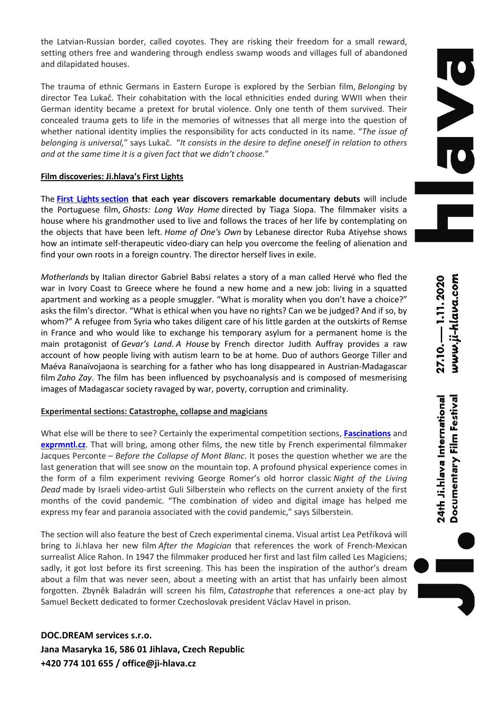the Latvian-Russian border, called coyotes. They are risking their freedom for a small reward, setting others free and wandering through endless swamp woods and villages full of abandoned and dilapidated houses.

The trauma of ethnic Germans in Eastern Europe is explored by the Serbian film, *Belonging* by director Tea Lukač. Their cohabitation with the local ethnicities ended during WWII when their German identity became a pretext for brutal violence. Only one tenth of them survived. Their concealed trauma gets to life in the memories of witnesses that all merge into the question of whether national identity implies the responsibility for acts conducted in its name. "*The issue of belonging is universal,*" says Lukač. "*It consists in the desire to define oneself in relation to others and at the same time it is a given fact that we didn't choose.*"

# **Film discoveries: Ji.hlava's First Lights**

The **First Lights section that each year discovers remarkable documentary debuts** will include the Portuguese film, *Ghosts: Long Way Home* directed by Tiaga Siopa. The filmmaker visits a house where his grandmother used to live and follows the traces of her life by contemplating on the objects that have been left. *Home of One's Own* by Lebanese director Ruba Atiyehse shows how an intimate self-therapeutic video-diary can help you overcome the feeling of alienation and find your own roots in a foreign country. The director herself lives in exile.

*Motherlands* by Italian director Gabriel Babsi relates a story of a man called Hervé who fled the war in Ivory Coast to Greece where he found a new home and a new job: living in a squatted apartment and working as a people smuggler. "What is morality when you don't have a choice?" asks the film's director. "What is ethical when you have no rights? Can we be judged? And if so, by whom?" A refugee from Syria who takes diligent care of his little garden at the outskirts of Remse in France and who would like to exchange his temporary asylum for a permanent home is the main protagonist of *Gevar's Land*. *A House* by French director Judith Auffray provides a raw account of how people living with autism learn to be at home. Duo of authors George Tiller and Maéva Ranaïvojaona is searching for a father who has long disappeared in Austrian-Madagascar film *Zaho Zay*. The film has been influenced by psychoanalysis and is composed of mesmerising images of Madagascar society ravaged by war, poverty, corruption and criminality.

# **Experimental sections: Catastrophe, collapse and magicians**

What else will be there to see? Certainly the experimental competition sections, **Fascinations** and **exprmntl.cz**. That will bring, among other films, the new title by French experimental filmmaker Jacques Perconte *– Before the Collapse of Mont Blanc*. It poses the question whether we are the last generation that will see snow on the mountain top. A profound physical experience comes in the form of a film experiment reviving George Romer's old horror classic *Night of the Living Dead* made by Israeli video-artist Guli Silberstein who reflects on the current anxiety of the first months of the covid pandemic. "The combination of video and digital image has helped me express my fear and paranoia associated with the covid pandemic," says Silberstein.

The section will also feature the best of Czech experimental cinema. Visual artist Lea Petříková will bring to Ji.hlava her new film *After the Magician* that references the work of French-Mexican surrealist Alice Rahon. In 1947 the filmmaker produced her first and last film called Les Magiciens; sadly, it got lost before its first screening. This has been the inspiration of the author's dream about a film that was never seen, about a meeting with an artist that has unfairly been almost forgotten. Zbyněk Baladrán will screen his film, *Catastrophe* that references a one-act play by Samuel Beckett dedicated to former Czechoslovak president Václav Havel in prison.

**DOC.DREAM services s.r.o. Jana Masaryka 16, 586 01 Jihlava, Czech Republic +420 774 101 655 / office@ji-hlava.cz**

www.ji-hlava.com 27.10. 1.11. 2020

24th Ji.hlava International Documentary Film Festival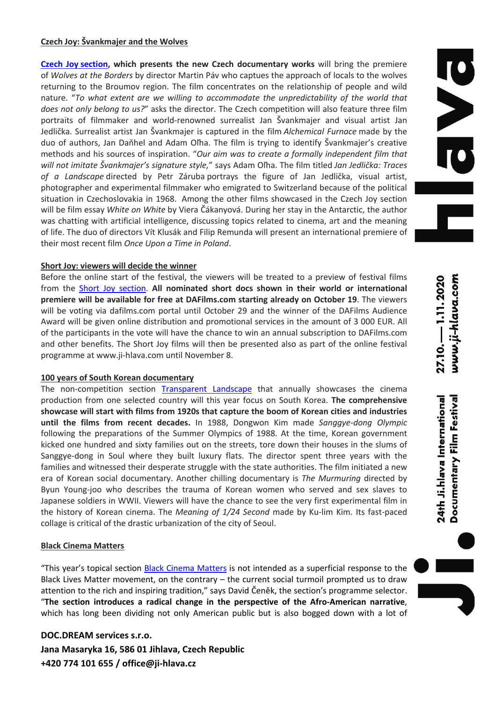#### **Czech Joy: Švankmajer and the Wolves**

**Czech Joy section, which presents the new Czech documentary works** will bring the premiere of *Wolves at the Borders* by director Martin Páv who captues the approach of locals to the wolves returning to the Broumov region. The film concentrates on the relationship of people and wild nature. "*To what extent are we willing to accommodate the unpredictability of the world that does not only belong to us?*" asks the director. The Czech competition will also feature three film portraits of filmmaker and world-renowned surrealist Jan Švankmajer and visual artist Jan Jedlička. Surrealist artist Jan Švankmajer is captured in the film *Alchemical Furnace* made by the duo of authors, Jan Daňhel and Adam Oľha. The film is trying to identify Švankmajer's creative methods and his sources of inspiration. "*Our aim was to create a formally independent film that will not imitate Švankmajer's signature style,*" says Adam Oľha. The film titled *Jan Jedlička: Traces of a Landscape* directed by Petr Záruba portrays the figure of Jan Jedlička, visual artist, photographer and experimental filmmaker who emigrated to Switzerland because of the political situation in Czechoslovakia in 1968. Among the other films showcased in the Czech Joy section will be film essay *White on White* by Viera Čákanyová. During her stay in the Antarctic, the author was chatting with artificial intelligence, discussing topics related to cinema, art and the meaning of life. The duo of directors Vít Klusák and Filip Remunda will present an international premiere of their most recent film *Once Upon a Time in Poland*.

## **Short Joy: viewers will decide the winner**

Before the online start of the festival, the viewers will be treated to a preview of festival films from the Short Joy section. **All nominated short docs shown in their world or international premiere will be available for free at DAFilms.com starting already on October 19**. The viewers will be voting via dafilms.com portal until October 29 and the winner of the DAFilms Audience Award will be given online distribution and promotional services in the amount of 3 000 EUR. All of the participants in the vote will have the chance to win an annual subscription to DAFilms.com and other benefits. The Short Joy films will then be presented also as part of the online festival programme at www.ji-hlava.com until November 8.

#### **100 years of South Korean documentary**

The non-competition section Transparent Landscape that annually showcases the cinema production from one selected country will this year focus on South Korea. **The comprehensive showcase will start with films from 1920s that capture the boom of Korean cities and industries until the films from recent decades.** In 1988, Dongwon Kim made *Sanggye-dong Olympic* following the preparations of the Summer Olympics of 1988. At the time, Korean government kicked one hundred and sixty families out on the streets, tore down their houses in the slums of Sanggye-dong in Soul where they built luxury flats. The director spent three years with the families and witnessed their desperate struggle with the state authorities. The film initiated a new era of Korean social documentary. Another chilling documentary is *The Murmuring* directed by Byun Young-joo who describes the trauma of Korean women who served and sex slaves to Japanese soldiers in WWII. Viewers will have the chance to see the very first experimental film in the history of Korean cinema. The *Meaning of 1/24 Second* made by Ku-lim Kim. Its fast-paced collage is critical of the drastic urbanization of the city of Seoul.

#### **Black Cinema Matters**

"This year's topical section Black Cinema Matters is not intended as a superficial response to the Black Lives Matter movement, on the contrary – the current social turmoil prompted us to draw attention to the rich and inspiring tradition," says David Čeněk, the section's programme selector. "**The section introduces a radical change in the perspective of the Afro-American narrative**, which has long been dividing not only American public but is also bogged down with a lot of

**DOC.DREAM services s.r.o. Jana Masaryka 16, 586 01 Jihlava, Czech Republic +420 774 101 655 / office@ji-hlava.cz**

24th Ji.hlava International Documentary Film Festival